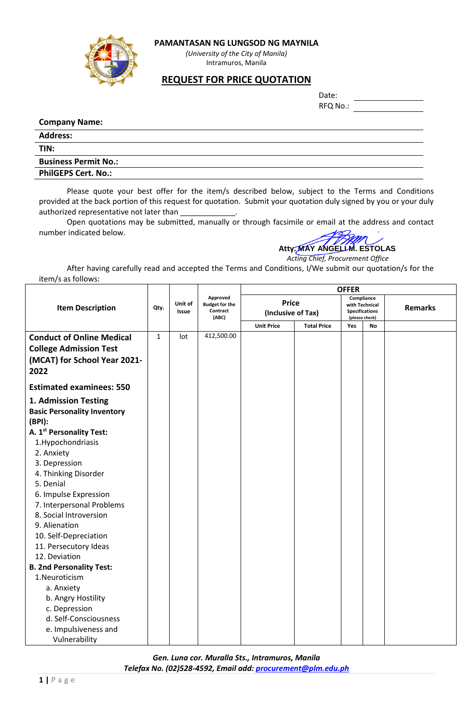



*(University of the City of Manila)* Intramuros, Manila

## **REQUEST FOR PRICE QUOTATION**

| Date:    |  |
|----------|--|
| RFQ No.: |  |

## **Company Name:**

| <b>Address:</b>             |
|-----------------------------|
| TIN:                        |
| <b>Business Permit No.:</b> |
| <b>PhilGEPS Cert. No.:</b>  |

Please quote your best offer for the item/s described below, subject to the Terms and Conditions provided at the back portion of this request for quotation. Submit your quotation duly signed by you or your duly authorized representative not later than

Open quotations may be submitted, manually or through facsimile or email at the address and contact number indicated below.

## **Atty. MAY ANGELI M. ESTOLAS**

 *Acting Chief, Procurement Office*

After having carefully read and accepted the Terms and Conditions, I/We submit our quotation/s for the item/s as follows:

|                                      |      |                         |                                                        | <b>OFFER</b>                       |                    |                                                                         |    |                |  |
|--------------------------------------|------|-------------------------|--------------------------------------------------------|------------------------------------|--------------------|-------------------------------------------------------------------------|----|----------------|--|
| <b>Item Description</b>              | Qty. | Unit of<br><b>Issue</b> | Approved<br><b>Budget for the</b><br>Contract<br>(ABC) | <b>Price</b><br>(Inclusive of Tax) |                    | Compliance<br>with Technical<br><b>Specifications</b><br>(please check) |    | <b>Remarks</b> |  |
|                                      |      |                         |                                                        | <b>Unit Price</b>                  | <b>Total Price</b> | Yes                                                                     | No |                |  |
| <b>Conduct of Online Medical</b>     | 1    | lot                     | 412,500.00                                             |                                    |                    |                                                                         |    |                |  |
| <b>College Admission Test</b>        |      |                         |                                                        |                                    |                    |                                                                         |    |                |  |
| (MCAT) for School Year 2021-<br>2022 |      |                         |                                                        |                                    |                    |                                                                         |    |                |  |
| <b>Estimated examinees: 550</b>      |      |                         |                                                        |                                    |                    |                                                                         |    |                |  |
| 1. Admission Testing                 |      |                         |                                                        |                                    |                    |                                                                         |    |                |  |
| <b>Basic Personality Inventory</b>   |      |                         |                                                        |                                    |                    |                                                                         |    |                |  |
| (BPI):                               |      |                         |                                                        |                                    |                    |                                                                         |    |                |  |
| A. 1 <sup>st</sup> Personality Test: |      |                         |                                                        |                                    |                    |                                                                         |    |                |  |
| 1. Hypochondriasis                   |      |                         |                                                        |                                    |                    |                                                                         |    |                |  |
| 2. Anxiety                           |      |                         |                                                        |                                    |                    |                                                                         |    |                |  |
| 3. Depression                        |      |                         |                                                        |                                    |                    |                                                                         |    |                |  |
| 4. Thinking Disorder                 |      |                         |                                                        |                                    |                    |                                                                         |    |                |  |
| 5. Denial                            |      |                         |                                                        |                                    |                    |                                                                         |    |                |  |
| 6. Impulse Expression                |      |                         |                                                        |                                    |                    |                                                                         |    |                |  |
| 7. Interpersonal Problems            |      |                         |                                                        |                                    |                    |                                                                         |    |                |  |
| 8. Social Introversion               |      |                         |                                                        |                                    |                    |                                                                         |    |                |  |
| 9. Alienation                        |      |                         |                                                        |                                    |                    |                                                                         |    |                |  |
| 10. Self-Depreciation                |      |                         |                                                        |                                    |                    |                                                                         |    |                |  |
| 11. Persecutory Ideas                |      |                         |                                                        |                                    |                    |                                                                         |    |                |  |
| 12. Deviation                        |      |                         |                                                        |                                    |                    |                                                                         |    |                |  |
| <b>B. 2nd Personality Test:</b>      |      |                         |                                                        |                                    |                    |                                                                         |    |                |  |
| 1.Neuroticism                        |      |                         |                                                        |                                    |                    |                                                                         |    |                |  |
| a. Anxiety                           |      |                         |                                                        |                                    |                    |                                                                         |    |                |  |
| b. Angry Hostility                   |      |                         |                                                        |                                    |                    |                                                                         |    |                |  |
| c. Depression                        |      |                         |                                                        |                                    |                    |                                                                         |    |                |  |
| d. Self-Consciousness                |      |                         |                                                        |                                    |                    |                                                                         |    |                |  |
| e. Impulsiveness and                 |      |                         |                                                        |                                    |                    |                                                                         |    |                |  |
| Vulnerability                        |      |                         |                                                        |                                    |                    |                                                                         |    |                |  |